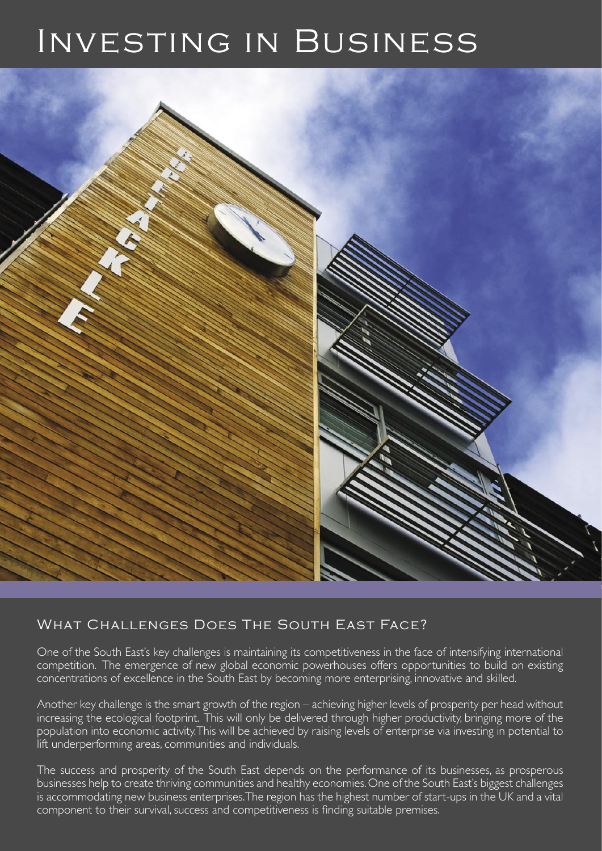# Investing in Business



## What Challenges Does The South East Face?

One of the South East's key challenges is maintaining its competitiveness in the face of intensifying international competition. The emergence of new global economic powerhouses offers opportunities to build on existing concentrations of excellence in the South East by becoming more enterprising, innovative and skilled.

Another key challenge is the smart growth of the region – achieving higher levels of prosperity per head without increasing the ecological footprint. This will only be delivered through higher productivity, bringing more of the population into economic activity. This will be achieved by raising levels of enterprise via investing in potential to lift underperforming areas, communities and individuals.

The success and prosperity of the South East depends on the performance of its businesses, as prosperous businesses help to create thriving communities and healthy economies. One of the South East's biggest challenges is accommodating new business enterprises. The region has the highest number of start-ups in the UK and a vital component to their survival, success and competitiveness is finding suitable premises.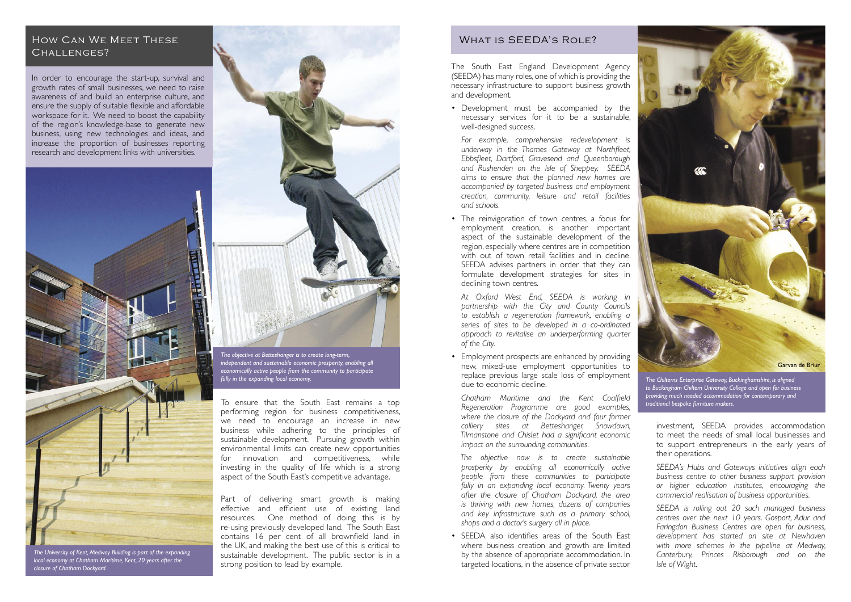#### How Can We Meet These CHALLENGES?

In order to encourage the start-up, survival and growth rates of small businesses, we need to raise awareness of and build an enterprise culture, and ensure the supply of suitable flexible and affordable workspace for it. We need to boost the capability of the region's knowledge-base to generate new business, using new technologies and ideas, and increase the proportion of businesses reporting research and development links with universities.

The South East England Development Agency (SEEDA) has many roles, one of which is providing the necessary infrastructure to support business growth and development.

• Development must be accompanied by the necessary services for it to be a sustainable, well-designed success.

• Employment prospects are enhanced by providing new, mixed-use employment opportunities to replace previous large scale loss of employment due to economic decline.

*For example, comprehensive redevelopment is underway in the Thames Gateway at Northfleet, Ebbsfleet, Dartford, Gravesend and Queenborough and Rushenden on the Isle of Sheppey. SEEDA aims to ensure that the planned new homes are accompanied by targeted business and employment creation, community, leisure and retail facilities and schools.*

• The reinvigoration of town centres, a focus for employment creation, is another important aspect of the sustainable development of the region, especially where centres are in competition with out of town retail facilities and in decline. SEEDA advises partners in order that they can formulate development strategies for sites in declining town centres.

*At Oxford West End, SEEDA is working in partnership with the City and County Councils to establish a regeneration framework, enabling a series of sites to be developed in a co-ordinated approach to revitalise an underperforming quarter of the City.*

*Chatham Maritime and the Kent Coalfield Regeneration Programme are good examples, where the closure of the Dockyard and four former colliery sites at Betteshanger, Snowdown, Tilmanstone and Chislet had a significant economic impact on the surrounding communities.*

*The objective now is to create sustainable prosperity by enabling all economically active people from these communities to participate fully in an expanding local economy. Twenty years after the closure of Chatham Dockyard, the area is thriving with new homes, dozens of companies and key infrastructure such as a primary school, shops and a doctor's surgery all in place.*

• SEEDA also identifies areas of the South East where business creation and growth are limited by the absence of appropriate accommodation. In targeted locations, in the absence of private sector

investment, SEEDA provides accommodation to meet the needs of small local businesses and to support entrepreneurs in the early years of their operations.

*SEEDA's Hubs and Gateways initiatives align each business centre to other business support provision or higher education institutes, encouraging the commercial realisation of business opportunities.*

*SEEDA is rolling out 20 such managed business centres over the next 10 years. Gosport, Adur and Faringdon Business Centres are open for business, development has started on site at Newhaven with more schemes in the pipeline at Medway, Canterbury, Princes Risborough and on the Isle of Wight.*



*The University of Kent, Medway Building is part of the expanding local economy at Chatham Maritime, Kent, 20 years after the closure of Chatham Dockyard.*

*The Chilterns Enterprise Gateway, Buckinghamshire, is aligned to Buckingham Chiltern University College and open for business providing much needed accommodation for contemporary and traditional bespoke furniture makers.*



*The objective at Betteshanger is to create long-term, independent and sustainable economic prosperity, enabling all economically active people from the community to participate fully in the expanding local economy.* 

To ensure that the South East remains a top performing region for business competitiveness, we need to encourage an increase in new business while adhering to the principles of sustainable development. Pursuing growth within environmental limits can create new opportunities for innovation and competitiveness, while investing in the quality of life which is a strong aspect of the South East's competitive advantage.

Part of delivering smart growth is making effective and efficient use of existing land resources. One method of doing this is by re-using previously developed land. The South East contains 16 per cent of all brownfield land in the UK, and making the best use of this is critical to sustainable development. The public sector is in a strong position to lead by example.

### WHAT IS SEEDA'S ROLE?